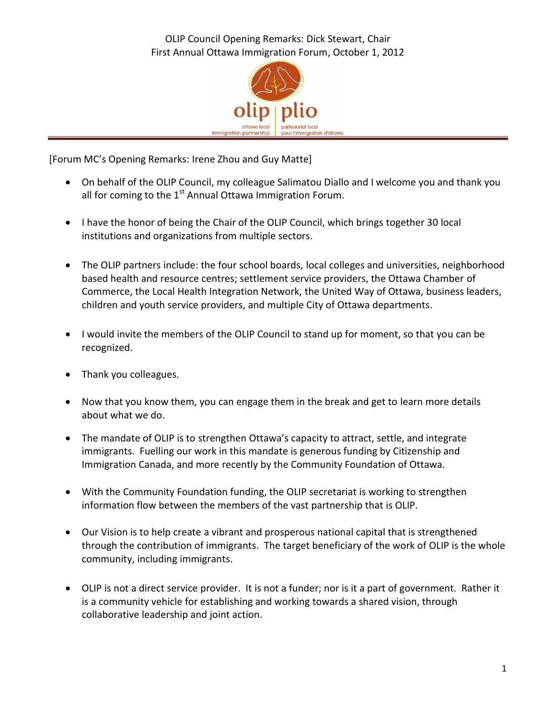OLIP Council Opening Remarks: Dick Stewart, Chair First Annual Ottawa Immigration Forum, October 1, 2012



[Forum MC's Opening Remarks: Irene Zhou and Guy Matte]

- On behalf of the OLIP Council, my colleague Salimatou Diallo and I welcome you and thank you all for coming to the  $1<sup>st</sup>$  Annual Ottawa Immigration Forum.
- I have the honor of being the Chair of the OLIP Council, which brings together 30 local institutions and organizations from multiple sectors.
- The OLIP partners include: the four school boards, local colleges and universities, neighborhood based health and resource centres; settlement service providers, the Ottawa Chamber of Commerce, the Local Health Integration Network, the United Way of Ottawa, business leaders, children and youth service providers, and multiple City of Ottawa departments.
- I would invite the members of the OLIP Council to stand up for moment, so that you can be recognized.
- Thank you colleagues.
- Now that you know them, you can engage them in the break and get to learn more details about what we do.
- The mandate of OLIP is to strengthen Ottawa's capacity to attract, settle, and integrate immigrants. Fuelling our work in this mandate is generous funding by Citizenship and Immigration Canada, and more recently by the Community Foundation of Ottawa.
- With the Community Foundation funding, the OLIP secretariat is working to strengthen information flow between the members of the vast partnership that is OLIP.
- Our Vision is to help create a vibrant and prosperous national capital that is strengthened through the contribution of immigrants. The target beneficiary of the work of OLIP is the whole community, including immigrants.
- OLIP is not a direct service provider. It is not a funder; nor is it a part of government. Rather it is a community vehicle for establishing and working towards a shared vision, through collaborative leadership and joint action.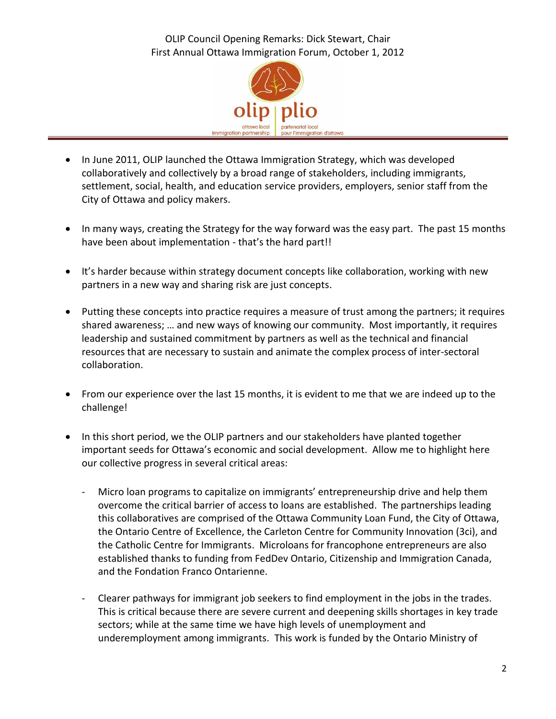OLIP Council Opening Remarks: Dick Stewart, Chair First Annual Ottawa Immigration Forum, October 1, 2012



- In June 2011, OLIP launched the Ottawa Immigration Strategy, which was developed collaboratively and collectively by a broad range of stakeholders, including immigrants, settlement, social, health, and education service providers, employers, senior staff from the City of Ottawa and policy makers.
- In many ways, creating the Strategy for the way forward was the easy part. The past 15 months have been about implementation - that's the hard part!!
- It's harder because within strategy document concepts like collaboration, working with new partners in a new way and sharing risk are just concepts.
- Putting these concepts into practice requires a measure of trust among the partners; it requires shared awareness; … and new ways of knowing our community. Most importantly, it requires leadership and sustained commitment by partners as well as the technical and financial resources that are necessary to sustain and animate the complex process of inter-sectoral collaboration.
- From our experience over the last 15 months, it is evident to me that we are indeed up to the challenge!
- In this short period, we the OLIP partners and our stakeholders have planted together important seeds for Ottawa's economic and social development. Allow me to highlight here our collective progress in several critical areas:
	- Micro loan programs to capitalize on immigrants' entrepreneurship drive and help them overcome the critical barrier of access to loans are established. The partnerships leading this collaboratives are comprised of the Ottawa Community Loan Fund, the City of Ottawa, the Ontario Centre of Excellence, the Carleton Centre for Community Innovation (3ci), and the Catholic Centre for Immigrants. Microloans for francophone entrepreneurs are also established thanks to funding from FedDev Ontario, Citizenship and Immigration Canada, and the Fondation Franco Ontarienne.
	- Clearer pathways for immigrant job seekers to find employment in the jobs in the trades. This is critical because there are severe current and deepening skills shortages in key trade sectors; while at the same time we have high levels of unemployment and underemployment among immigrants. This work is funded by the Ontario Ministry of